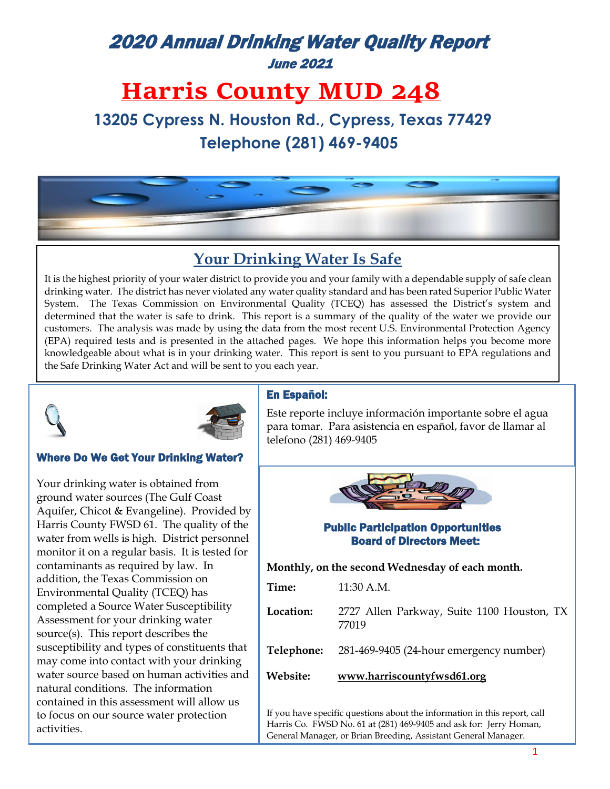# 2020 Annual Drinking Water Quality Report June 2021

# **Harris County MUD 248**

 **13205 Cypress N. Houston Rd., Cypress, Texas 77429 Telephone (281) 469-9405**



## **Your Drinking Water Is Safe**

It is the highest priority of your water district to provide you and your family with a dependable supply of safe clean drinking water. The district has never violated any water quality standard and has been rated Superior Public Water System. The Texas Commission on Environmental Quality (TCEQ) has assessed the District's system and determined that the water is safe to drink. This report is a summary of the quality of the water we provide our customers. The analysis was made by using the data from the most recent U.S. Environmental Protection Agency (EPA) required tests and is presented in the attached pages. We hope this information helps you become more knowledgeable about what is in your drinking water. This report is sent to you pursuant to EPA regulations and the Safe Drinking Water Act and will be sent to you each year.





### Where Do We Get Your Drinking Water?

Your drinking water is obtained from ground water sources (The Gulf Coast Aquifer, Chicot & Evangeline). Provided by Harris County FWSD 61. The quality of the water from wells is high. District personnel monitor it on a regular basis. It is tested for contaminants as required by law. In addition, the Texas Commission on Environmental Quality (TCEQ) has completed a Source Water Susceptibility Assessment for your drinking water source(s). This report describes the susceptibility and types of constituents that may come into contact with your drinking water source based on human activities and natural conditions. The information contained in this assessment will allow us to focus on our source water protection activities.

### En Español:

Este reporte incluye información importante sobre el agua para tomar. Para asistencia en español, favor de llamar al telefono (281) 469-9405



### Public Participation Opportunities Board of Directors Meet:

**Monthly, on the second Wednesday of each month.**

| Website:  | www.harriscountyfwsd61.org                          |
|-----------|-----------------------------------------------------|
|           | Telephone: 281-469-9405 (24-hour emergency number)  |
| Location: | 2727 Allen Parkway, Suite 1100 Houston, TX<br>77019 |
| Time:     | $11:30$ A.M.                                        |

If you have specific questions about the information in this report, call Harris Co. FWSD No. 61 at (281) 469-9405 and ask for: Jerry Homan, General Manager, or Brian Breeding, Assistant General Manager.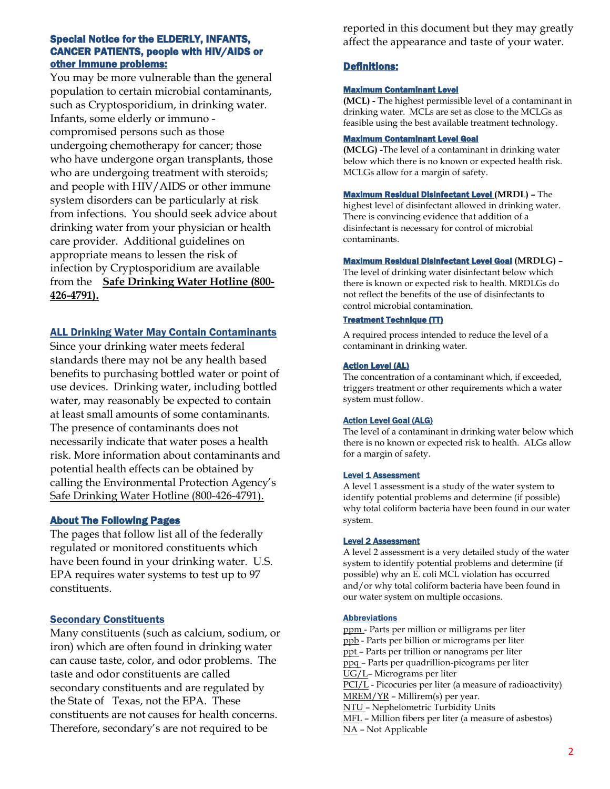#### Special Notice for the ELDERLY, INFANTS, CANCER PATIENTS, people with HIV/AIDS or other immune problems:

You may be more vulnerable than the general population to certain microbial contaminants, such as Cryptosporidium, in drinking water. Infants, some elderly or immuno compromised persons such as those undergoing chemotherapy for cancer; those who have undergone organ transplants, those who are undergoing treatment with steroids; and people with HIV/AIDS or other immune system disorders can be particularly at risk from infections. You should seek advice about drinking water from your physician or health care provider. Additional guidelines on appropriate means to lessen the risk of infection by Cryptosporidium are available from the **Safe Drinking Water Hotline (800- 426-4791).**

#### **ALL Drinking Water May Contain Contaminants**

Since your drinking water meets federal standards there may not be any health based benefits to purchasing bottled water or point of use devices. Drinking water, including bottled water, may reasonably be expected to contain at least small amounts of some contaminants. The presence of contaminants does not necessarily indicate that water poses a health risk. More information about contaminants and potential health effects can be obtained by calling the Environmental Protection Agency's Safe Drinking Water Hotline (800-426-4791).

#### About The Following Pages

The pages that follow list all of the federally regulated or monitored constituents which have been found in your drinking water. U.S. EPA requires water systems to test up to 97 constituents.

### **Secondary Constituents**

Many constituents (such as calcium, sodium, or iron) which are often found in drinking water can cause taste, color, and odor problems. The taste and odor constituents are called secondary constituents and are regulated by the State of Texas, not the EPA. These constituents are not causes for health concerns. Therefore, secondary's are not required to be

reported in this document but they may greatly affect the appearance and taste of your water.

#### Definitions:

#### Maximum Contaminant Level

**(MCL) -** The highest permissible level of a contaminant in drinking water. MCLs are set as close to the MCLGs as feasible using the best available treatment technology.

#### Maximum Contaminant Level Goal

**(MCLG) -**The level of a contaminant in drinking water below which there is no known or expected health risk. MCLGs allow for a margin of safety.

Maximum Residual Disinfectant Level **(MRDL) –** The highest level of disinfectant allowed in drinking water. There is convincing evidence that addition of a disinfectant is necessary for control of microbial contaminants.

#### Maximum Residual Disinfectant Level Goal **(MRDLG) –**

The level of drinking water disinfectant below which there is known or expected risk to health. MRDLGs do not reflect the benefits of the use of disinfectants to control microbial contamination.

#### Treatment Technique (TT)

A required process intended to reduce the level of a contaminant in drinking water.

#### **Action Level (AL)**

The concentration of a contaminant which, if exceeded, triggers treatment or other requirements which a water system must follow.

#### Action Level Goal (ALG)

The level of a contaminant in drinking water below which there is no known or expected risk to health. ALGs allow for a margin of safety.

#### Level 1 Assessment

A level 1 assessment is a study of the water system to identify potential problems and determine (if possible) why total coliform bacteria have been found in our water system.

#### **Level 2 Assessment**

A level 2 assessment is a very detailed study of the water system to identify potential problems and determine (if possible) why an E. coli MCL violation has occurred and/or why total coliform bacteria have been found in our water system on multiple occasions.

#### Abbreviations

ppm - Parts per million or milligrams per liter ppb - Parts per billion or micrograms per liter ppt – Parts per trillion or nanograms per liter ppq – Parts per quadrillion-picograms per liter UG/L– Micrograms per liter PCI/L - Picocuries per liter (a measure of radioactivity) MREM/YR – Millirem(s) per year. NTU – Nephelometric Turbidity Units MFL – Million fibers per liter (a measure of asbestos) NA – Not Applicable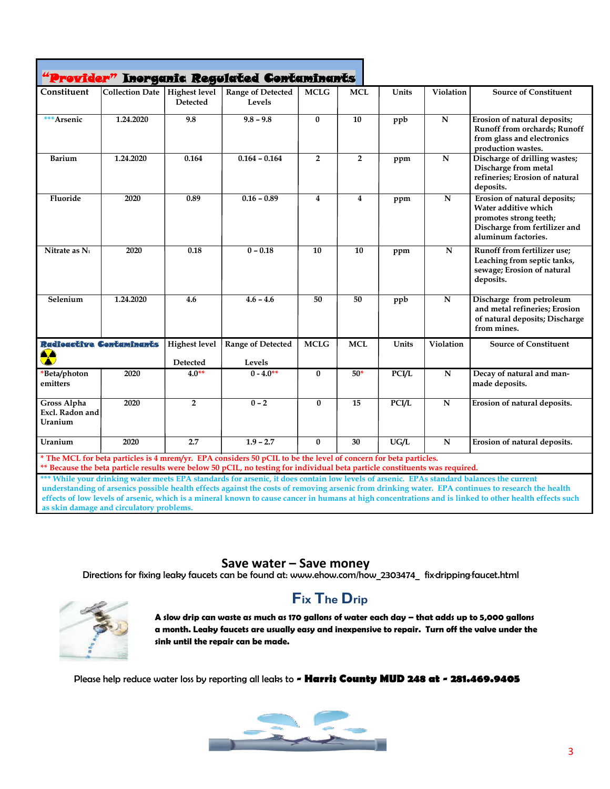|                                                                                                                                                                                                                                                                                                                                                                                                                                                                                                                                                 |                                 |                                  | "Provider" Inorganic Regulated Contaminants |                 |                         |              |                         |                                                                                                                                        |
|-------------------------------------------------------------------------------------------------------------------------------------------------------------------------------------------------------------------------------------------------------------------------------------------------------------------------------------------------------------------------------------------------------------------------------------------------------------------------------------------------------------------------------------------------|---------------------------------|----------------------------------|---------------------------------------------|-----------------|-------------------------|--------------|-------------------------|----------------------------------------------------------------------------------------------------------------------------------------|
| Constituent                                                                                                                                                                                                                                                                                                                                                                                                                                                                                                                                     | Collection Date   Highest level | <b>Detected</b>                  | Range of Detected<br>Levels                 | <b>MCLG</b>     | <b>MCL</b>              | Units        | Violation               | <b>Source of Constituent</b>                                                                                                           |
| *** Arsenic                                                                                                                                                                                                                                                                                                                                                                                                                                                                                                                                     | 1.24.2020                       | 9.8                              | $9.8 - 9.8$                                 | $\bf{0}$        | 10                      | ppb          | $\overline{\mathbf{N}}$ | Erosion of natural deposits;<br>Runoff from orchards; Runoff<br>from glass and electronics<br>production wastes.                       |
| <b>Barium</b>                                                                                                                                                                                                                                                                                                                                                                                                                                                                                                                                   | 1.24.2020                       | 0.164                            | $0.164 - 0.164$                             | $\overline{2}$  | $\overline{2}$          | ppm          | $\mathbf N$             | Discharge of drilling wastes;<br>Discharge from metal<br>refineries; Erosion of natural<br>deposits.                                   |
| Fluoride                                                                                                                                                                                                                                                                                                                                                                                                                                                                                                                                        | 2020                            | 0.89                             | $0.16 - 0.89$                               | $\overline{4}$  | $\overline{\mathbf{4}}$ | ppm          | $\mathbf N$             | Erosion of natural deposits;<br>Water additive which<br>promotes strong teeth;<br>Discharge from fertilizer and<br>aluminum factories. |
| Nitrate as $N_1$                                                                                                                                                                                                                                                                                                                                                                                                                                                                                                                                | 2020                            | 0.18                             | $0 - 0.18$                                  | $\overline{10}$ | $\overline{10}$         | ppm          | $\overline{\mathbf{N}}$ | Runoff from fertilizer use;<br>Leaching from septic tanks,<br>sewage; Erosion of natural<br>deposits.                                  |
| Selenium                                                                                                                                                                                                                                                                                                                                                                                                                                                                                                                                        | 1.24.2020                       | 4.6                              | $4.6 - 4.6$                                 | 50              | 50                      | ppb          | ${\bf N}$               | Discharge from petroleum<br>and metal refineries; Erosion<br>of natural deposits; Discharge<br>from mines.                             |
| Radioactive Contaminants<br>ΔÀ<br>$\blacktriangleright$                                                                                                                                                                                                                                                                                                                                                                                                                                                                                         |                                 | <b>Highest level</b><br>Detected | Range of Detected<br>Levels                 | <b>MCLG</b>     | <b>MCL</b>              | Units        | Violation               | <b>Source of Constituent</b>                                                                                                           |
| *Beta/photon<br>emitters                                                                                                                                                                                                                                                                                                                                                                                                                                                                                                                        | 2020                            | $4.0**$                          | $0 - 4.0**$                                 | $\bf{0}$        | $50*$                   | <b>PCI/L</b> | ${\bf N}$               | Decay of natural and man-<br>made deposits.                                                                                            |
| <b>Gross Alpha</b><br>Excl. Radon and<br>Uranium                                                                                                                                                                                                                                                                                                                                                                                                                                                                                                | 2020                            | $\overline{2}$                   | $0 - 2$                                     | $\bf{0}$        | $\overline{15}$         | <b>PCI/L</b> | $\overline{\mathbf{N}}$ | Erosion of natural deposits.                                                                                                           |
| Uranium                                                                                                                                                                                                                                                                                                                                                                                                                                                                                                                                         | 2020                            | 2.7                              | $1.9 - 2.7$                                 | $\bf{0}$        | $\overline{30}$         | UG/L         | $\mathbf N$             | Erosion of natural deposits.                                                                                                           |
| * The MCL for beta particles is 4 mrem/yr. EPA considers 50 pCIL to be the level of concern for beta particles.<br>** Because the beta particle results were below 50 pCIL, no testing for individual beta particle constituents was required.<br>*** While your drinking water meets EPA standards for arsenic, it does contain low levels of arsenic. EPAs standard balances the current<br>understanding of arsenics possible health effects against the costs of removing arsenic from drinking water. EPA continues to research the health |                                 |                                  |                                             |                 |                         |              |                         |                                                                                                                                        |

**effects of low levels of arsenic, which is a mineral known to cause cancer in humans at high concentrations and is linked to other health effects such as skin damage and circulatory problems.**

**Save water – Save money**<br>Directions for fixing leaky faucets can be found at: [www.ehow.com/how\\_2303474\\_](http://www.ehow.com/how_2303474_) fix·dripping·faucet.html



# **Fix The Drip**

**A slow drip can waste as much as 170 gallons of water each day – that adds up to 5,000 gallons a month. Leaky faucets are usually easy and inexpensive to repair. Turn off the valve under the sink until the repair can be made.**

Please help reduce water loss by reporting all leaks to **- Harris County MUD 248 at - 281.469.9405**

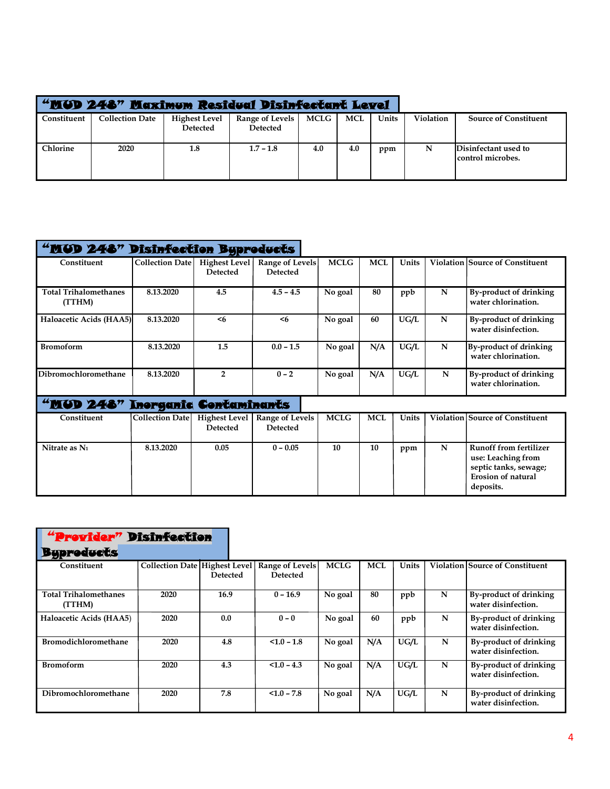|             | "MUD 248" Maximum Residual Disinfectant Level |                                         |                                    |      |            |       |           |                                            |
|-------------|-----------------------------------------------|-----------------------------------------|------------------------------------|------|------------|-------|-----------|--------------------------------------------|
| Constituent | <b>Collection Date</b>                        | <b>Highest Level</b><br><b>Detected</b> | Range of Levels<br><b>Detected</b> | MCLG | <b>MCL</b> | Units | Violation | <b>Source of Constituent</b>               |
| Chlorine    | 2020                                          | 1.8                                     | $1.7 - 1.8$                        | 4.0  | 4.0        | ppm   |           | Disinfectant used to<br> control microbes. |

| "MUD 248" Disinfection Byproducts      |                        |                                         |                                           |             |            |       |   |                                                                                                                 |
|----------------------------------------|------------------------|-----------------------------------------|-------------------------------------------|-------------|------------|-------|---|-----------------------------------------------------------------------------------------------------------------|
| Constituent                            | <b>Collection Date</b> | <b>Highest Level</b><br><b>Detected</b> | Range of Levels<br><b>Detected</b>        | <b>MCLG</b> | <b>MCL</b> | Units |   | <b>Violation Source of Constituent</b>                                                                          |
| <b>Total Trihalomethanes</b><br>(TTHM) | 8.13.2020              | 4.5                                     | $4.5 - 4.5$                               | No goal     | 80         | ppb   | N | By-product of drinking<br>water chlorination.                                                                   |
| Haloacetic Acids (HAA5)                | 8.13.2020              | < 6                                     | < 6                                       | No goal     | 60         | UG/L  | N | By-product of drinking<br>water disinfection.                                                                   |
| <b>Bromoform</b>                       | 8.13.2020              | 1.5                                     | $0.0 - 1.5$                               | No goal     | N/A        | UG/L  | N | By-product of drinking<br>water chlorination.                                                                   |
| Dibromochloromethane                   | 8.13.2020              | $\overline{2}$                          | $0 - 2$                                   | No goal     | N/A        | UG/L  | N | <b>By-product of drinking</b><br>water chlorination.                                                            |
| "MUD 248" Inorganic Contaminants       |                        |                                         |                                           |             |            |       |   |                                                                                                                 |
| Constituent                            | <b>Collection Date</b> | <b>Highest Level</b><br><b>Detected</b> | <b>Range of Levels</b><br><b>Detected</b> | <b>MCLG</b> | <b>MCL</b> | Units |   | <b>Violation Source of Constituent</b>                                                                          |
| Nitrate as N <sub>1</sub>              | 8.13.2020              | 0.05                                    | $0 - 0.05$                                | 10          | 10         | ppm   | N | <b>Runoff from fertilizer</b><br>use: Leaching from<br>septic tanks, sewage;<br>Erosion of natural<br>deposits. |

| "Provider" Disinfection                |                               |                 |                                    |             |            |       |   |                                               |
|----------------------------------------|-------------------------------|-----------------|------------------------------------|-------------|------------|-------|---|-----------------------------------------------|
| <b>Byproducts</b>                      |                               |                 |                                    |             |            |       |   |                                               |
| Constituent                            | Collection Date Highest Level | <b>Detected</b> | Range of Levels<br><b>Detected</b> | <b>MCLG</b> | <b>MCL</b> | Units |   | <b>Violation Source of Constituent</b>        |
| <b>Total Trihalomethanes</b><br>(TTHM) | 2020                          | 16.9            | $0 - 16.9$                         | No goal     | 80         | ppb   | N | By-product of drinking<br>water disinfection. |
| Haloacetic Acids (HAA5)                | 2020                          | 0.0             | $0 - 0$                            | No goal     | 60         | ppb   | N | By-product of drinking<br>water disinfection. |
| <b>Bromodichloromethane</b>            | 2020                          | 4.8             | $< 1.0 - 1.8$                      | No goal     | N/A        | UG/L  | N | By-product of drinking<br>water disinfection. |
| <b>Bromoform</b>                       | 2020                          | 4.3             | $< 1.0 - 4.3$                      | No goal     | N/A        | UG/L  | N | By-product of drinking<br>water disinfection. |
| Dibromochloromethane                   | 2020                          | 7.8             | $< 1.0 - 7.8$                      | No goal     | N/A        | UG/L  | N | By-product of drinking<br>water disinfection. |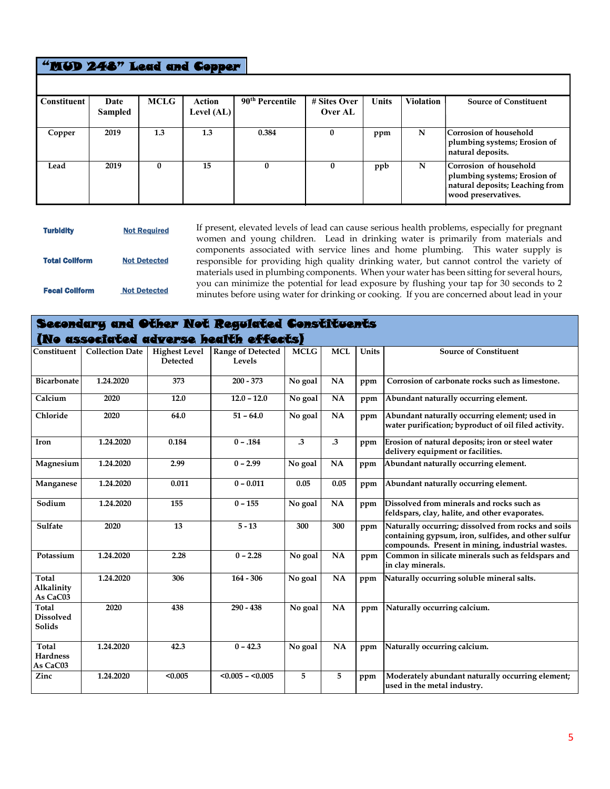### "MUD 248" Lead and Copper

| Constituent | Date<br>Sampled | <b>MCLG</b> | Action<br>Level $(AL)$ | 90 <sup>th</sup> Percentile | # Sites Over<br>Over AL | <b>Units</b> | <b>Violation</b> | <b>Source of Constituent</b>                                                                                     |
|-------------|-----------------|-------------|------------------------|-----------------------------|-------------------------|--------------|------------------|------------------------------------------------------------------------------------------------------------------|
| Copper      | 2019            | 1.3         | 1.3                    | 0.384                       | 0                       | ppm          | N                | Corrosion of household<br>plumbing systems; Erosion of<br>natural deposits.                                      |
| Lead        | 2019            | $\Omega$    | 15                     | $\bf{0}$                    | $\mathbf{0}$            | ppb          | N                | Corrosion of household<br>plumbing systems; Erosion of<br>natural deposits; Leaching from<br>wood preservatives. |

| <b>Turbidity</b>      | <b>Not Required</b> |
|-----------------------|---------------------|
| <b>Total Collform</b> | <b>Not Detected</b> |
| <b>Fecal Collform</b> | <b>Not Detected</b> |

If present, elevated levels of lead can cause serious health problems, especially for pregnant women and young children. Lead in drinking water is primarily from materials and components associated with service lines and home plumbing. This water supply is responsible for providing high quality drinking water, but cannot control the variety of materials used in plumbing components. When your water has been sitting for several hours, you can minimize the potential for lead exposure by flushing your tap for 30 seconds to 2 minutes before using water for drinking or cooking. If you are concerned about lead in your

### Secondary and Other Not Regulat[ed Constituents](http://www.epa.gov/safewater/lead)  í

|                                      |                        |                                  | (No associated adverse health effects) |                |            |       |                                                                                                                                                                |
|--------------------------------------|------------------------|----------------------------------|----------------------------------------|----------------|------------|-------|----------------------------------------------------------------------------------------------------------------------------------------------------------------|
| Constituent                          | <b>Collection Date</b> | <b>Highest Level</b><br>Detected | <b>Range of Detected</b><br>Levels     | <b>MCLG</b>    | <b>MCL</b> | Units | <b>Source of Constituent</b>                                                                                                                                   |
| <b>Bicarbonate</b>                   | 1.24.2020              | 373                              | $200 - 373$                            | No goal        | NA         | ppm   | Corrosion of carbonate rocks such as limestone.                                                                                                                |
| Calcium                              | 2020                   | 12.0                             | $12.0 - 12.0$                          | No goal        | <b>NA</b>  | ppm   | Abundant naturally occurring element.                                                                                                                          |
| Chloride                             | 2020                   | 64.0                             | $51 - 64.0$                            | No goal        | NA         | ppm   | Abundant naturally occurring element; used in<br>water purification; byproduct of oil filed activity.                                                          |
| Iron                                 | 1.24.2020              | 0.184                            | $0 - .184$                             | $\cdot$ 3      | $\cdot$ 3  | ppm   | Erosion of natural deposits; iron or steel water<br>delivery equipment or facilities.                                                                          |
| Magnesium                            | 1.24.2020              | 2.99                             | $0 - 2.99$                             | No goal        | NA         | ppm   | Abundant naturally occurring element.                                                                                                                          |
| Manganese                            | 1.24.2020              | 0.011                            | $0 - 0.011$                            | 0.05           | 0.05       | ppm   | Abundant naturally occurring element.                                                                                                                          |
| Sodium                               | 1.24.2020              | 155                              | $0 - 155$                              | No goal        | <b>NA</b>  | ppm   | Dissolved from minerals and rocks such as<br>feldspars, clay, halite, and other evaporates.                                                                    |
| Sulfate                              | 2020                   | 13                               | $5 - 13$                               | 300            | 300        | ppm   | Naturally occurring; dissolved from rocks and soils<br>containing gypsum, iron, sulfides, and other sulfur<br>compounds. Present in mining, industrial wastes. |
| Potassium                            | 1.24.2020              | 2.28                             | $0 - 2.28$                             | No goal        | NA         | ppm   | Common in silicate minerals such as feldspars and<br>in clay minerals.                                                                                         |
| Total<br>Alkalinity<br>As CaC03      | 1.24.2020              | 306                              | $164 - 306$                            | No goal        | NA         | ppm   | Naturally occurring soluble mineral salts.                                                                                                                     |
| Total<br><b>Dissolved</b><br>Solids  | 2020                   | 438                              | $290 - 438$                            | No goal        | NA         | ppm   | Naturally occurring calcium.                                                                                                                                   |
| Total<br><b>Hardness</b><br>As CaC03 | 1.24.2020              | 42.3                             | $0 - 42.3$                             | No goal        | <b>NA</b>  | ppm   | Naturally occurring calcium.                                                                                                                                   |
| Zinc                                 | 1.24.2020              | < 0.005                          | $< 0.005 - < 0.005$                    | $\overline{5}$ | 5          | ppm   | Moderately abundant naturally occurring element;<br>used in the metal industry.                                                                                |